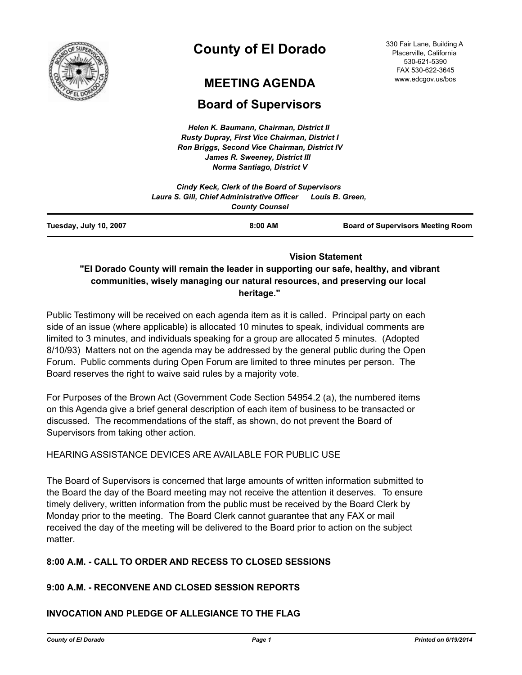

# **County of El Dorado**

# **MEETING AGENDA**

# **Board of Supervisors**

*Helen K. Baumann, Chairman, District II Rusty Dupray, First Vice Chairman, District I Ron Briggs, Second Vice Chairman, District IV James R. Sweeney, District III Norma Santiago, District V*

|                        | Cindy Keck, Clerk of the Board of Supervisors                        |                                          |
|------------------------|----------------------------------------------------------------------|------------------------------------------|
|                        | Laura S. Gill, Chief Administrative Officer<br><b>County Counsel</b> | Louis B. Green,                          |
| Tuesday, July 10, 2007 | 8:00 AM                                                              | <b>Board of Supervisors Meeting Room</b> |
|                        |                                                                      |                                          |

 **Vision Statement** 

# **"El Dorado County will remain the leader in supporting our safe, healthy, and vibrant communities, wisely managing our natural resources, and preserving our local heritage."**

Public Testimony will be received on each agenda item as it is called. Principal party on each side of an issue (where applicable) is allocated 10 minutes to speak, individual comments are limited to 3 minutes, and individuals speaking for a group are allocated 5 minutes. (Adopted 8/10/93) Matters not on the agenda may be addressed by the general public during the Open Forum. Public comments during Open Forum are limited to three minutes per person. The Board reserves the right to waive said rules by a majority vote.

For Purposes of the Brown Act (Government Code Section 54954.2 (a), the numbered items on this Agenda give a brief general description of each item of business to be transacted or discussed. The recommendations of the staff, as shown, do not prevent the Board of Supervisors from taking other action.

# HEARING ASSISTANCE DEVICES ARE AVAILABLE FOR PUBLIC USE

The Board of Supervisors is concerned that large amounts of written information submitted to the Board the day of the Board meeting may not receive the attention it deserves. To ensure timely delivery, written information from the public must be received by the Board Clerk by Monday prior to the meeting. The Board Clerk cannot guarantee that any FAX or mail received the day of the meeting will be delivered to the Board prior to action on the subject matter.

# **8:00 A.M. - CALL TO ORDER AND RECESS TO CLOSED SESSIONS**

# **9:00 A.M. - RECONVENE AND CLOSED SESSION REPORTS**

# **INVOCATION AND PLEDGE OF ALLEGIANCE TO THE FLAG**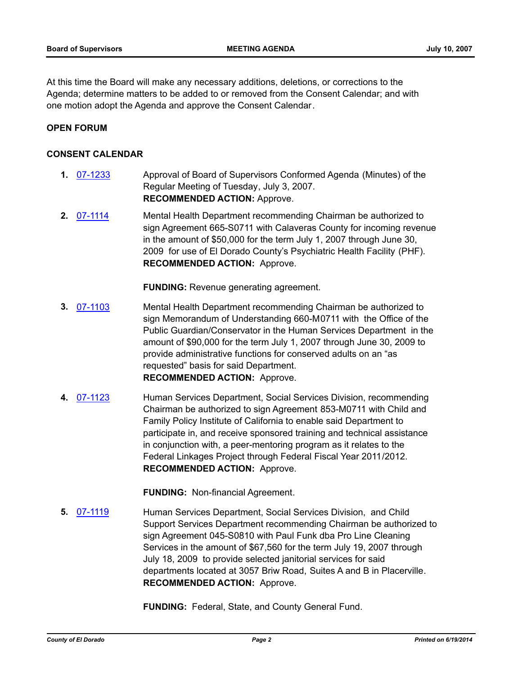At this time the Board will make any necessary additions, deletions, or corrections to the Agenda; determine matters to be added to or removed from the Consent Calendar; and with one motion adopt the Agenda and approve the Consent Calendar.

#### **OPEN FORUM**

#### **CONSENT CALENDAR**

- **1.** [07-1233](http://eldorado.legistar.com/gateway.aspx?m=l&id=/matter.aspx?key=6085) Approval of Board of Supervisors Conformed Agenda (Minutes) of the Regular Meeting of Tuesday, July 3, 2007. **RECOMMENDED ACTION:** Approve.
- **2.** [07-1114](http://eldorado.legistar.com/gateway.aspx?m=l&id=/matter.aspx?key=5916) Mental Health Department recommending Chairman be authorized to sign Agreement 665-S0711 with Calaveras County for incoming revenue in the amount of \$50,000 for the term July 1, 2007 through June 30, 2009 for use of El Dorado County's Psychiatric Health Facility (PHF). **RECOMMENDED ACTION:** Approve.

**FUNDING:** Revenue generating agreement.

- **3.** [07-1103](http://eldorado.legistar.com/gateway.aspx?m=l&id=/matter.aspx?key=5900) Mental Health Department recommending Chairman be authorized to sign Memorandum of Understanding 660-M0711 with the Office of the Public Guardian/Conservator in the Human Services Department in the amount of \$90,000 for the term July 1, 2007 through June 30, 2009 to provide administrative functions for conserved adults on an "as requested" basis for said Department. **RECOMMENDED ACTION:** Approve.
- **4.** [07-1123](http://eldorado.legistar.com/gateway.aspx?m=l&id=/matter.aspx?key=5926) Human Services Department, Social Services Division, recommending Chairman be authorized to sign Agreement 853-M0711 with Child and Family Policy Institute of California to enable said Department to participate in, and receive sponsored training and technical assistance in conjunction with, a peer-mentoring program as it relates to the Federal Linkages Project through Federal Fiscal Year 2011/2012. **RECOMMENDED ACTION:** Approve.

**FUNDING:** Non-financial Agreement.

**5.** [07-1119](http://eldorado.legistar.com/gateway.aspx?m=l&id=/matter.aspx?key=5921) **Human Services Department, Social Services Division, and Child** Support Services Department recommending Chairman be authorized to sign Agreement 045-S0810 with Paul Funk dba Pro Line Cleaning Services in the amount of \$67,560 for the term July 19, 2007 through July 18, 2009 to provide selected janitorial services for said departments located at 3057 Briw Road, Suites A and B in Placerville. **RECOMMENDED ACTION:** Approve.

**FUNDING:** Federal, State, and County General Fund.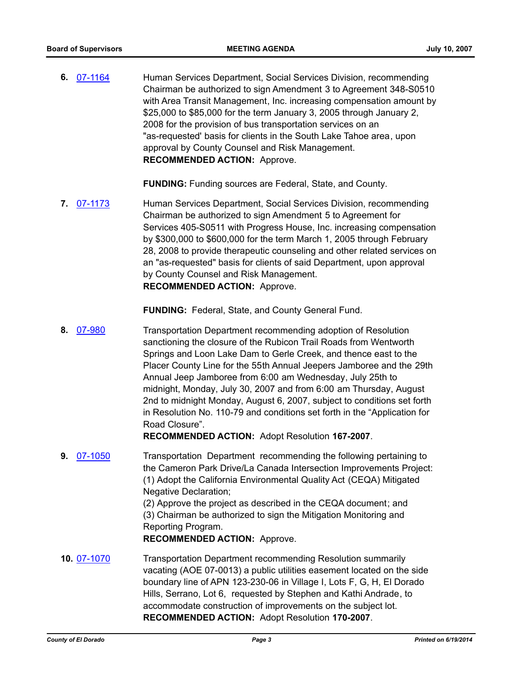**6.** [07-1164](http://eldorado.legistar.com/gateway.aspx?m=l&id=/matter.aspx?key=5987) Human Services Department, Social Services Division, recommending Chairman be authorized to sign Amendment 3 to Agreement 348-S0510 with Area Transit Management, Inc. increasing compensation amount by \$25,000 to \$85,000 for the term January 3, 2005 through January 2, 2008 for the provision of bus transportation services on an "as-requested' basis for clients in the South Lake Tahoe area, upon approval by County Counsel and Risk Management. **RECOMMENDED ACTION:** Approve.

**FUNDING:** Funding sources are Federal, State, and County.

**7.** [07-1173](http://eldorado.legistar.com/gateway.aspx?m=l&id=/matter.aspx?key=6005) Human Services Department, Social Services Division, recommending Chairman be authorized to sign Amendment 5 to Agreement for Services 405-S0511 with Progress House, Inc. increasing compensation by \$300,000 to \$600,000 for the term March 1, 2005 through February 28, 2008 to provide therapeutic counseling and other related services on an "as-requested" basis for clients of said Department, upon approval by County Counsel and Risk Management. **RECOMMENDED ACTION:** Approve.

**FUNDING:** Federal, State, and County General Fund.

**8.** [07-980](http://eldorado.legistar.com/gateway.aspx?m=l&id=/matter.aspx?key=5724) Transportation Department recommending adoption of Resolution sanctioning the closure of the Rubicon Trail Roads from Wentworth Springs and Loon Lake Dam to Gerle Creek, and thence east to the Placer County Line for the 55th Annual Jeepers Jamboree and the 29th Annual Jeep Jamboree from 6:00 am Wednesday, July 25th to midnight, Monday, July 30, 2007 and from 6:00 am Thursday, August 2nd to midnight Monday, August 6, 2007, subject to conditions set forth in Resolution No. 110-79 and conditions set forth in the "Application for Road Closure".

**RECOMMENDED ACTION:** Adopt Resolution **167-2007**.

**9.** [07-1050](http://eldorado.legistar.com/gateway.aspx?m=l&id=/matter.aspx?key=5811) Transportation Department recommending the following pertaining to the Cameron Park Drive/La Canada Intersection Improvements Project: (1) Adopt the California Environmental Quality Act (CEQA) Mitigated Negative Declaration;

(2) Approve the project as described in the CEQA document; and (3) Chairman be authorized to sign the Mitigation Monitoring and Reporting Program.

**RECOMMENDED ACTION:** Approve.

**10.** [07-1070](http://eldorado.legistar.com/gateway.aspx?m=l&id=/matter.aspx?key=5851) Transportation Department recommending Resolution summarily vacating (AOE 07-0013) a public utilities easement located on the side boundary line of APN 123-230-06 in Village I, Lots F, G, H, El Dorado Hills, Serrano, Lot 6, requested by Stephen and Kathi Andrade, to accommodate construction of improvements on the subject lot. **RECOMMENDED ACTION:** Adopt Resolution **170-2007**.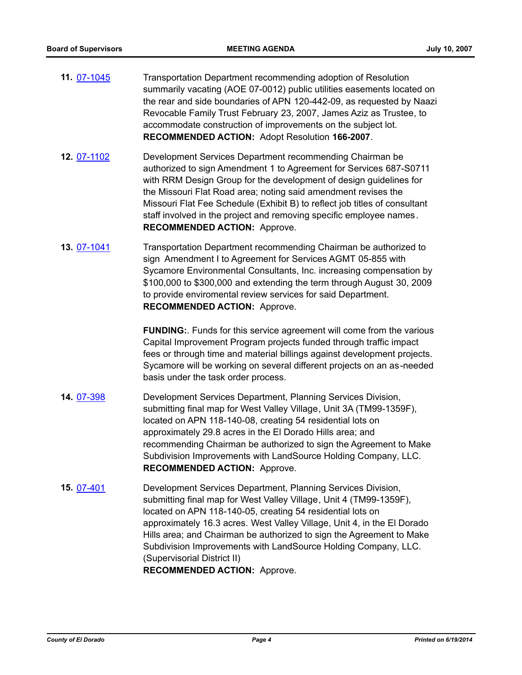- **11.** [07-1045](http://eldorado.legistar.com/gateway.aspx?m=l&id=/matter.aspx?key=5805) Transportation Department recommending adoption of Resolution summarily vacating (AOE 07-0012) public utilities easements located on the rear and side boundaries of APN 120-442-09, as requested by Naazi Revocable Family Trust February 23, 2007, James Aziz as Trustee, to accommodate construction of improvements on the subject lot. **RECOMMENDED ACTION:** Adopt Resolution **166-2007**.
- **12.** [07-1102](http://eldorado.legistar.com/gateway.aspx?m=l&id=/matter.aspx?key=5899) Development Services Department recommending Chairman be authorized to sign Amendment 1 to Agreement for Services 687-S0711 with RRM Design Group for the development of design guidelines for the Missouri Flat Road area; noting said amendment revises the Missouri Flat Fee Schedule (Exhibit B) to reflect job titles of consultant staff involved in the project and removing specific employee names. **RECOMMENDED ACTION:** Approve.
- **13.** [07-1041](http://eldorado.legistar.com/gateway.aspx?m=l&id=/matter.aspx?key=5797) Transportation Department recommending Chairman be authorized to sign Amendment I to Agreement for Services AGMT 05-855 with Sycamore Environmental Consultants, Inc. increasing compensation by \$100,000 to \$300,000 and extending the term through August 30, 2009 to provide enviromental review services for said Department. **RECOMMENDED ACTION:** Approve.

**FUNDING:**. Funds for this service agreement will come from the various Capital Improvement Program projects funded through traffic impact fees or through time and material billings against development projects. Sycamore will be working on several different projects on an as-needed basis under the task order process.

- **14.** [07-398](http://eldorado.legistar.com/gateway.aspx?m=l&id=/matter.aspx?key=4812) Development Services Department, Planning Services Division, submitting final map for West Valley Village, Unit 3A (TM99-1359F), located on APN 118-140-08, creating 54 residential lots on approximately 29.8 acres in the El Dorado Hills area; and recommending Chairman be authorized to sign the Agreement to Make Subdivision Improvements with LandSource Holding Company, LLC. **RECOMMENDED ACTION:** Approve.
- **15.** [07-401](http://eldorado.legistar.com/gateway.aspx?m=l&id=/matter.aspx?key=4816) Development Services Department, Planning Services Division, submitting final map for West Valley Village, Unit 4 (TM99-1359F), located on APN 118-140-05, creating 54 residential lots on approximately 16.3 acres. West Valley Village, Unit 4, in the El Dorado Hills area; and Chairman be authorized to sign the Agreement to Make Subdivision Improvements with LandSource Holding Company, LLC. (Supervisorial District II) **RECOMMENDED ACTION:** Approve.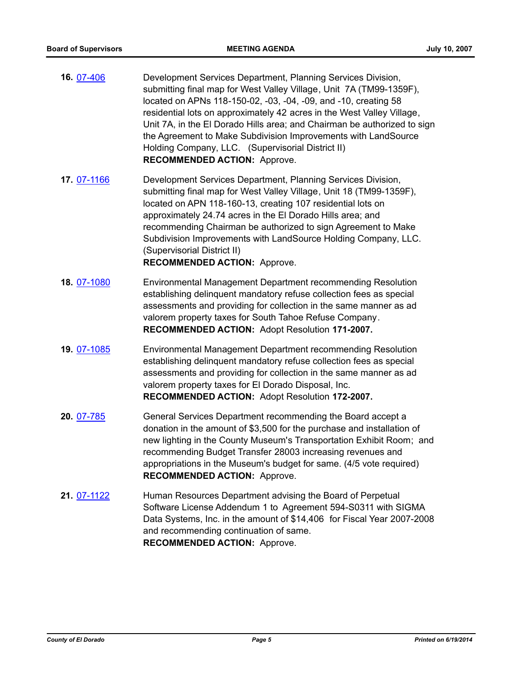- **16.** [07-406](http://eldorado.legistar.com/gateway.aspx?m=l&id=/matter.aspx?key=4822) Development Services Department, Planning Services Division, submitting final map for West Valley Village, Unit 7A (TM99-1359F), located on APNs 118-150-02, -03, -04, -09, and -10, creating 58 residential lots on approximately 42 acres in the West Valley Village, Unit 7A, in the El Dorado Hills area; and Chairman be authorized to sign the Agreement to Make Subdivision Improvements with LandSource Holding Company, LLC. (Supervisorial District II) **RECOMMENDED ACTION:** Approve.
- **17.** [07-1166](http://eldorado.legistar.com/gateway.aspx?m=l&id=/matter.aspx?key=5989) Development Services Department, Planning Services Division, submitting final map for West Valley Village, Unit 18 (TM99-1359F), located on APN 118-160-13, creating 107 residential lots on approximately 24.74 acres in the El Dorado Hills area; and recommending Chairman be authorized to sign Agreement to Make Subdivision Improvements with LandSource Holding Company, LLC. (Supervisorial District II) **RECOMMENDED ACTION:** Approve.
- **18.** [07-1080](http://eldorado.legistar.com/gateway.aspx?m=l&id=/matter.aspx?key=5863) Environmental Management Department recommending Resolution establishing delinquent mandatory refuse collection fees as special assessments and providing for collection in the same manner as ad valorem property taxes for South Tahoe Refuse Company. **RECOMMENDED ACTION:** Adopt Resolution **171-2007.**
- **19.** [07-1085](http://eldorado.legistar.com/gateway.aspx?m=l&id=/matter.aspx?key=5872) Environmental Management Department recommending Resolution establishing delinquent mandatory refuse collection fees as special assessments and providing for collection in the same manner as ad valorem property taxes for El Dorado Disposal, Inc. **RECOMMENDED ACTION:** Adopt Resolution **172-2007.**
- **20.** [07-785](http://eldorado.legistar.com/gateway.aspx?m=l&id=/matter.aspx?key=5446) General Services Department recommending the Board accept a donation in the amount of \$3,500 for the purchase and installation of new lighting in the County Museum's Transportation Exhibit Room; and recommending Budget Transfer 28003 increasing revenues and appropriations in the Museum's budget for same. (4/5 vote required) **RECOMMENDED ACTION:** Approve.
- **21.** [07-1122](http://eldorado.legistar.com/gateway.aspx?m=l&id=/matter.aspx?key=5924) Human Resources Department advising the Board of Perpetual Software License Addendum 1 to Agreement 594-S0311 with SIGMA Data Systems, Inc. in the amount of \$14,406 for Fiscal Year 2007-2008 and recommending continuation of same. **RECOMMENDED ACTION:** Approve.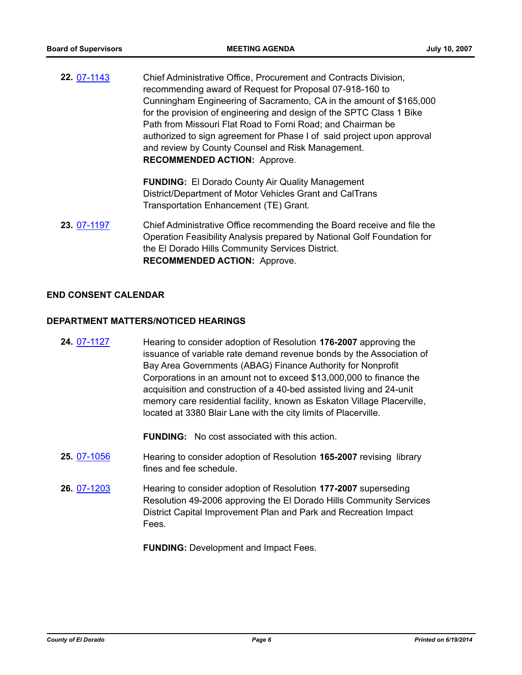**22.** [07-1143](http://eldorado.legistar.com/gateway.aspx?m=l&id=/matter.aspx?key=5960) Chief Administrative Office, Procurement and Contracts Division, recommending award of Request for Proposal 07-918-160 to Cunningham Engineering of Sacramento, CA in the amount of \$165,000 for the provision of engineering and design of the SPTC Class 1 Bike Path from Missouri Flat Road to Forni Road; and Chairman be authorized to sign agreement for Phase I of said project upon approval and review by County Counsel and Risk Management. **RECOMMENDED ACTION:** Approve.

> **FUNDING:** El Dorado County Air Quality Management District/Department of Motor Vehicles Grant and CalTrans Transportation Enhancement (TE) Grant.

**23.** [07-1197](http://eldorado.legistar.com/gateway.aspx?m=l&id=/matter.aspx?key=6031) Chief Administrative Office recommending the Board receive and file the Operation Feasibility Analysis prepared by National Golf Foundation for the El Dorado Hills Community Services District. **RECOMMENDED ACTION:** Approve.

### **END CONSENT CALENDAR**

#### **DEPARTMENT MATTERS/NOTICED HEARINGS**

**24.** [07-1127](http://eldorado.legistar.com/gateway.aspx?m=l&id=/matter.aspx?key=5932) Hearing to consider adoption of Resolution **176-2007** approving the issuance of variable rate demand revenue bonds by the Association of Bay Area Governments (ABAG) Finance Authority for Nonprofit Corporations in an amount not to exceed \$13,000,000 to finance the acquisition and construction of a 40-bed assisted living and 24-unit memory care residential facility, known as Eskaton Village Placerville, located at 3380 Blair Lane with the city limits of Placerville.

**FUNDING:** No cost associated with this action.

- **25.** [07-1056](http://eldorado.legistar.com/gateway.aspx?m=l&id=/matter.aspx?key=5819) Hearing to consider adoption of Resolution **165-2007** revising library fines and fee schedule.
- **26.** [07-1203](http://eldorado.legistar.com/gateway.aspx?m=l&id=/matter.aspx?key=6039) Hearing to consider adoption of Resolution **177-2007** superseding Resolution 49-2006 approving the El Dorado Hills Community Services District Capital Improvement Plan and Park and Recreation Impact Fees.

**FUNDING:** Development and Impact Fees.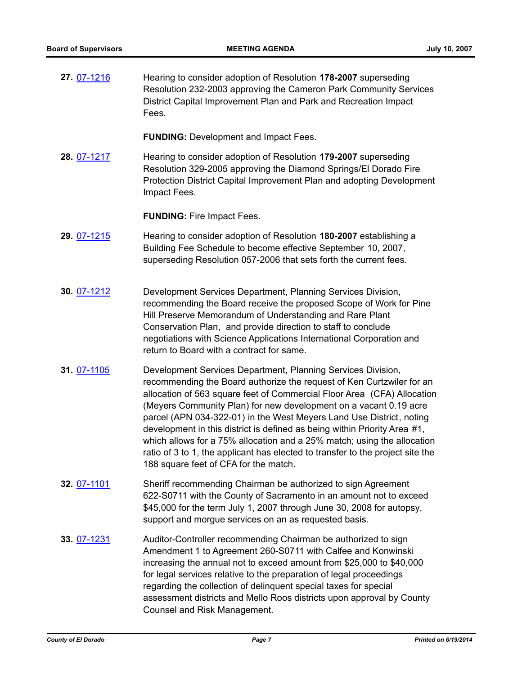**27.** [07-1216](http://eldorado.legistar.com/gateway.aspx?m=l&id=/matter.aspx?key=6059) Hearing to consider adoption of Resolution **178-2007** superseding Resolution 232-2003 approving the Cameron Park Community Services District Capital Improvement Plan and Park and Recreation Impact Fees.

**FUNDING:** Development and Impact Fees.

**28.** [07-1217](http://eldorado.legistar.com/gateway.aspx?m=l&id=/matter.aspx?key=6060) Hearing to consider adoption of Resolution **179-2007** superseding Resolution 329-2005 approving the Diamond Springs/El Dorado Fire Protection District Capital Improvement Plan and adopting Development Impact Fees.

**FUNDING:** Fire Impact Fees.

- **29.** [07-1215](http://eldorado.legistar.com/gateway.aspx?m=l&id=/matter.aspx?key=6058) Hearing to consider adoption of Resolution **180-2007** establishing a Building Fee Schedule to become effective September 10, 2007, superseding Resolution 057-2006 that sets forth the current fees.
- **30.** [07-1212](http://eldorado.legistar.com/gateway.aspx?m=l&id=/matter.aspx?key=6054) Development Services Department, Planning Services Division, recommending the Board receive the proposed Scope of Work for Pine Hill Preserve Memorandum of Understanding and Rare Plant Conservation Plan, and provide direction to staff to conclude negotiations with Science Applications International Corporation and return to Board with a contract for same.
- **31.** [07-1105](http://eldorado.legistar.com/gateway.aspx?m=l&id=/matter.aspx?key=5903) Development Services Department, Planning Services Division, recommending the Board authorize the request of Ken Curtzwiler for an allocation of 563 square feet of Commercial Floor Area (CFA) Allocation (Meyers Community Plan) for new development on a vacant 0.19 acre parcel (APN 034-322-01) in the West Meyers Land Use District, noting development in this district is defined as being within Priority Area #1, which allows for a 75% allocation and a 25% match; using the allocation ratio of 3 to 1, the applicant has elected to transfer to the project site the 188 square feet of CFA for the match.
- **32.** [07-1101](http://eldorado.legistar.com/gateway.aspx?m=l&id=/matter.aspx?key=5897) Sheriff recommending Chairman be authorized to sign Agreement 622-S0711 with the County of Sacramento in an amount not to exceed \$45,000 for the term July 1, 2007 through June 30, 2008 for autopsy, support and morgue services on an as requested basis.
- **33.** [07-1231](http://eldorado.legistar.com/gateway.aspx?m=l&id=/matter.aspx?key=6083) Auditor-Controller recommending Chairman be authorized to sign Amendment 1 to Agreement 260-S0711 with Calfee and Konwinski increasing the annual not to exceed amount from \$25,000 to \$40,000 for legal services relative to the preparation of legal proceedings regarding the collection of delinquent special taxes for special assessment districts and Mello Roos districts upon approval by County Counsel and Risk Management.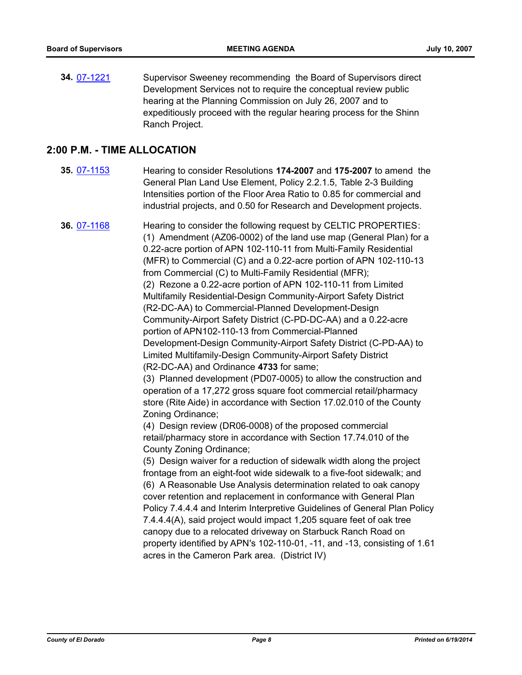**34.** [07-1221](http://eldorado.legistar.com/gateway.aspx?m=l&id=/matter.aspx?key=6069) Supervisor Sweeney recommending the Board of Supervisors direct Development Services not to require the conceptual review public hearing at the Planning Commission on July 26, 2007 and to expeditiously proceed with the regular hearing process for the Shinn Ranch Project.

# **2:00 P.M. - TIME ALLOCATION**

**35.** [07-1153](http://eldorado.legistar.com/gateway.aspx?m=l&id=/matter.aspx?key=5975) Hearing to consider Resolutions **174-2007** and **175-2007** to amend the General Plan Land Use Element, Policy 2.2.1.5, Table 2-3 Building Intensities portion of the Floor Area Ratio to 0.85 for commercial and industrial projects, and 0.50 for Research and Development projects.

**36.** [07-1168](http://eldorado.legistar.com/gateway.aspx?m=l&id=/matter.aspx?key=5993) Hearing to consider the following request by CELTIC PROPERTIES: (1) Amendment (AZ06-0002) of the land use map (General Plan) for a 0.22-acre portion of APN 102-110-11 from Multi-Family Residential (MFR) to Commercial (C) and a 0.22-acre portion of APN 102-110-13 from Commercial (C) to Multi-Family Residential (MFR); (2) Rezone a 0.22-acre portion of APN 102-110-11 from Limited Multifamily Residential-Design Community-Airport Safety District (R2-DC-AA) to Commercial-Planned Development-Design Community-Airport Safety District (C-PD-DC-AA) and a 0.22-acre portion of APN102-110-13 from Commercial-Planned Development-Design Community-Airport Safety District (C-PD-AA) to Limited Multifamily-Design Community-Airport Safety District (R2-DC-AA) and Ordinance **4733** for same; (3) Planned development (PD07-0005) to allow the construction and

operation of a 17,272 gross square foot commercial retail/pharmacy store (Rite Aide) in accordance with Section 17.02.010 of the County Zoning Ordinance;

(4) Design review (DR06-0008) of the proposed commercial retail/pharmacy store in accordance with Section 17.74.010 of the County Zoning Ordinance;

(5) Design waiver for a reduction of sidewalk width along the project frontage from an eight-foot wide sidewalk to a five-foot sidewalk; and (6) A Reasonable Use Analysis determination related to oak canopy cover retention and replacement in conformance with General Plan Policy 7.4.4.4 and Interim Interpretive Guidelines of General Plan Policy 7.4.4.4(A), said project would impact 1,205 square feet of oak tree canopy due to a relocated driveway on Starbuck Ranch Road on property identified by APN's 102-110-01, -11, and -13, consisting of 1.61 acres in the Cameron Park area. (District IV)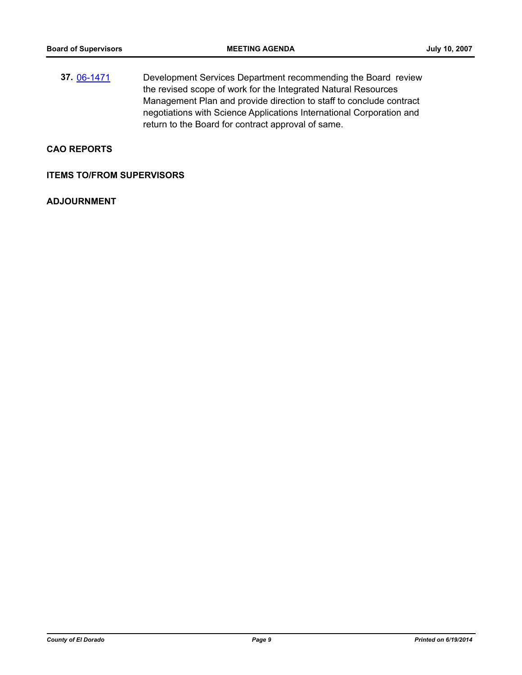**37.** [06-1471](http://eldorado.legistar.com/gateway.aspx?m=l&id=/matter.aspx?key=3347) Development Services Department recommending the Board review the revised scope of work for the Integrated Natural Resources Management Plan and provide direction to staff to conclude contract negotiations with Science Applications International Corporation and return to the Board for contract approval of same.

#### **CAO REPORTS**

#### **ITEMS TO/FROM SUPERVISORS**

#### **ADJOURNMENT**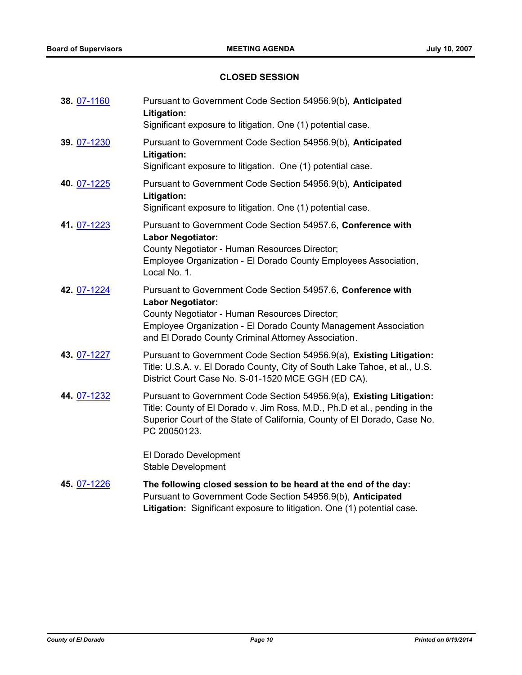# **CLOSED SESSION**

| 38. 07-1160 | Pursuant to Government Code Section 54956.9(b), Anticipated<br>Litigation:<br>Significant exposure to litigation. One (1) potential case.                                                                                                                           |
|-------------|---------------------------------------------------------------------------------------------------------------------------------------------------------------------------------------------------------------------------------------------------------------------|
| 39. 07-1230 | Pursuant to Government Code Section 54956.9(b), Anticipated<br>Litigation:<br>Significant exposure to litigation. One (1) potential case.                                                                                                                           |
| 40. 07-1225 | Pursuant to Government Code Section 54956.9(b), Anticipated<br>Litigation:<br>Significant exposure to litigation. One (1) potential case.                                                                                                                           |
| 41. 07-1223 | Pursuant to Government Code Section 54957.6, Conference with<br><b>Labor Negotiator:</b><br>County Negotiator - Human Resources Director;<br>Employee Organization - El Dorado County Employees Association,<br>Local No. 1.                                        |
| 42. 07-1224 | Pursuant to Government Code Section 54957.6, Conference with<br><b>Labor Negotiator:</b><br>County Negotiator - Human Resources Director;<br>Employee Organization - El Dorado County Management Association<br>and El Dorado County Criminal Attorney Association. |
| 43. 07-1227 | Pursuant to Government Code Section 54956.9(a), Existing Litigation:<br>Title: U.S.A. v. El Dorado County, City of South Lake Tahoe, et al., U.S.<br>District Court Case No. S-01-1520 MCE GGH (ED CA).                                                             |
| 44. 07-1232 | Pursuant to Government Code Section 54956.9(a), Existing Litigation:<br>Title: County of El Dorado v. Jim Ross, M.D., Ph.D et al., pending in the<br>Superior Court of the State of California, County of El Dorado, Case No.<br>PC 20050123.                       |
|             | El Dorado Development<br><b>Stable Development</b>                                                                                                                                                                                                                  |
| 45. 07-1226 | The following closed session to be heard at the end of the day:<br>Pursuant to Government Code Section 54956.9(b), Anticipated<br>Litigation: Significant exposure to litigation. One (1) potential case.                                                           |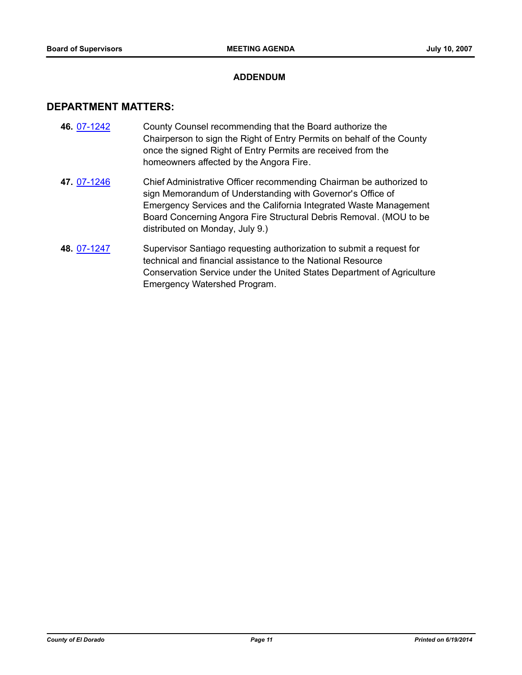#### **ADDENDUM**

#### **DEPARTMENT MATTERS:**

- **46.** [07-1242](http://eldorado.legistar.com/gateway.aspx?m=l&id=/matter.aspx?key=6097) County Counsel recommending that the Board authorize the Chairperson to sign the Right of Entry Permits on behalf of the County once the signed Right of Entry Permits are received from the homeowners affected by the Angora Fire.
- **47.** [07-1246](http://eldorado.legistar.com/gateway.aspx?m=l&id=/matter.aspx?key=6104) Chief Administrative Officer recommending Chairman be authorized to sign Memorandum of Understanding with Governor's Office of Emergency Services and the California Integrated Waste Management Board Concerning Angora Fire Structural Debris Removal. (MOU to be distributed on Monday, July 9.)
- **48.** [07-1247](http://eldorado.legistar.com/gateway.aspx?m=l&id=/matter.aspx?key=6106) Supervisor Santiago requesting authorization to submit a request for technical and financial assistance to the National Resource Conservation Service under the United States Department of Agriculture Emergency Watershed Program.